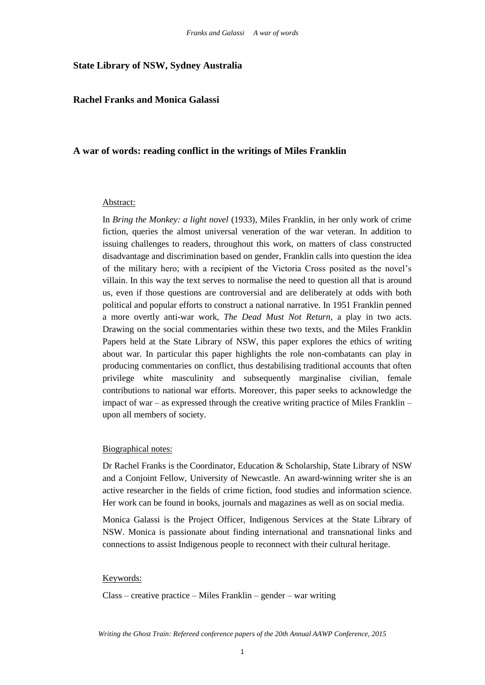### **State Library of NSW, Sydney Australia**

## **Rachel Franks and Monica Galassi**

### **A war of words: reading conflict in the writings of Miles Franklin**

#### Abstract:

In *Bring the Monkey: a light novel* (1933), Miles Franklin, in her only work of crime fiction, queries the almost universal veneration of the war veteran. In addition to issuing challenges to readers, throughout this work, on matters of class constructed disadvantage and discrimination based on gender, Franklin calls into question the idea of the military hero; with a recipient of the Victoria Cross posited as the novel's villain. In this way the text serves to normalise the need to question all that is around us, even if those questions are controversial and are deliberately at odds with both political and popular efforts to construct a national narrative. In 1951 Franklin penned a more overtly anti-war work, *The Dead Must Not Return*, a play in two acts. Drawing on the social commentaries within these two texts, and the Miles Franklin Papers held at the State Library of NSW, this paper explores the ethics of writing about war. In particular this paper highlights the role non-combatants can play in producing commentaries on conflict, thus destabilising traditional accounts that often privilege white masculinity and subsequently marginalise civilian, female contributions to national war efforts. Moreover, this paper seeks to acknowledge the impact of war – as expressed through the creative writing practice of Miles Franklin – upon all members of society.

#### Biographical notes:

Dr Rachel Franks is the Coordinator, Education & Scholarship, State Library of NSW and a Conjoint Fellow, University of Newcastle. An award-winning writer she is an active researcher in the fields of crime fiction, food studies and information science. Her work can be found in books, journals and magazines as well as on social media.

Monica Galassi is the Project Officer, Indigenous Services at the State Library of NSW. Monica is passionate about finding international and transnational links and connections to assist Indigenous people to reconnect with their cultural heritage.

#### Keywords:

Class – creative practice – Miles Franklin – gender – war writing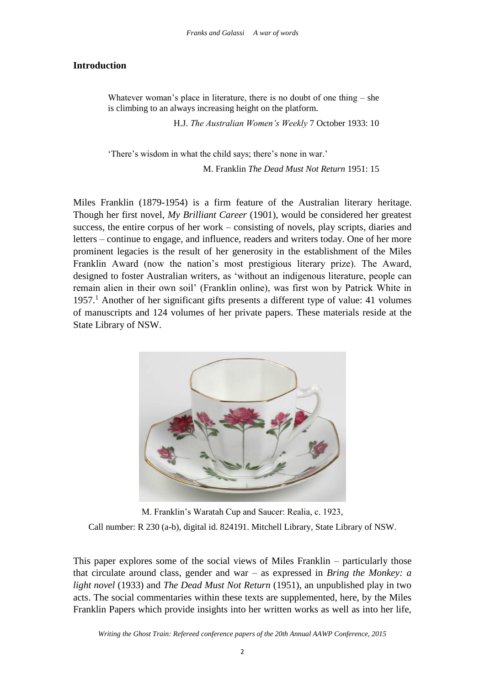# **Introduction**

Whatever woman's place in literature, there is no doubt of one thing – she is climbing to an always increasing height on the platform.

H.J. *The Australian Women's Weekly* 7 October 1933: 10

'There's wisdom in what the child says; there's none in war.'

M. Franklin *The Dead Must Not Return* 1951: 15

Miles Franklin (1879-1954) is a firm feature of the Australian literary heritage. Though her first novel, *My Brilliant Career* (1901), would be considered her greatest success, the entire corpus of her work – consisting of novels, play scripts, diaries and letters – continue to engage, and influence, readers and writers today. One of her more prominent legacies is the result of her generosity in the establishment of the Miles Franklin Award (now the nation's most prestigious literary prize). The Award, designed to foster Australian writers, as 'without an indigenous literature, people can remain alien in their own soil' (Franklin online), was first won by Patrick White in 1957.<sup>1</sup> Another of her significant gifts presents a different type of value: 41 volumes of manuscripts and 124 volumes of her private papers. These materials reside at the State Library of NSW.



M. Franklin's Waratah Cup and Saucer: Realia, c. 1923, Call number: R 230 (a-b), digital id. 824191. Mitchell Library, State Library of NSW.

This paper explores some of the social views of Miles Franklin – particularly those that circulate around class, gender and war – as expressed in *Bring the Monkey: a light novel* (1933) and *The Dead Must Not Return* (1951), an unpublished play in two acts. The social commentaries within these texts are supplemented, here, by the Miles Franklin Papers which provide insights into her written works as well as into her life,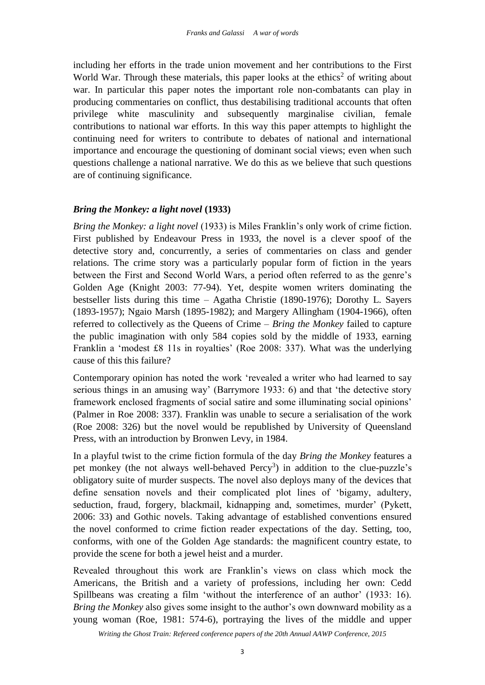including her efforts in the trade union movement and her contributions to the First World War. Through these materials, this paper looks at the ethics<sup>2</sup> of writing about war. In particular this paper notes the important role non-combatants can play in producing commentaries on conflict, thus destabilising traditional accounts that often privilege white masculinity and subsequently marginalise civilian, female contributions to national war efforts. In this way this paper attempts to highlight the continuing need for writers to contribute to debates of national and international importance and encourage the questioning of dominant social views; even when such questions challenge a national narrative. We do this as we believe that such questions are of continuing significance.

# *Bring the Monkey: a light novel* **(1933)**

*Bring the Monkey: a light novel* (1933) is Miles Franklin's only work of crime fiction. First published by Endeavour Press in 1933, the novel is a clever spoof of the detective story and, concurrently, a series of commentaries on class and gender relations. The crime story was a particularly popular form of fiction in the years between the First and Second World Wars, a period often referred to as the genre's Golden Age (Knight 2003: 77-94). Yet, despite women writers dominating the bestseller lists during this time – Agatha Christie (1890-1976); Dorothy L. Sayers (1893-1957); Ngaio Marsh (1895-1982); and Margery Allingham (1904-1966), often referred to collectively as the Queens of Crime – *Bring the Monkey* failed to capture the public imagination with only 584 copies sold by the middle of 1933, earning Franklin a 'modest £8 11s in royalties' (Roe 2008: 337). What was the underlying cause of this this failure?

Contemporary opinion has noted the work 'revealed a writer who had learned to say serious things in an amusing way' (Barrymore 1933: 6) and that 'the detective story framework enclosed fragments of social satire and some illuminating social opinions' (Palmer in Roe 2008: 337). Franklin was unable to secure a serialisation of the work (Roe 2008: 326) but the novel would be republished by University of Queensland Press, with an introduction by Bronwen Levy, in 1984.

In a playful twist to the crime fiction formula of the day *Bring the Monkey* features a pet monkey (the not always well-behaved Percy<sup>3</sup>) in addition to the clue-puzzle's obligatory suite of murder suspects. The novel also deploys many of the devices that define sensation novels and their complicated plot lines of 'bigamy, adultery, seduction, fraud, forgery, blackmail, kidnapping and, sometimes, murder' (Pykett, 2006: 33) and Gothic novels. Taking advantage of established conventions ensured the novel conformed to crime fiction reader expectations of the day. Setting, too, conforms, with one of the Golden Age standards: the magnificent country estate, to provide the scene for both a jewel heist and a murder.

Revealed throughout this work are Franklin's views on class which mock the Americans, the British and a variety of professions, including her own: Cedd Spillbeans was creating a film 'without the interference of an author' (1933: 16). *Bring the Monkey* also gives some insight to the author's own downward mobility as a young woman (Roe, 1981: 574-6), portraying the lives of the middle and upper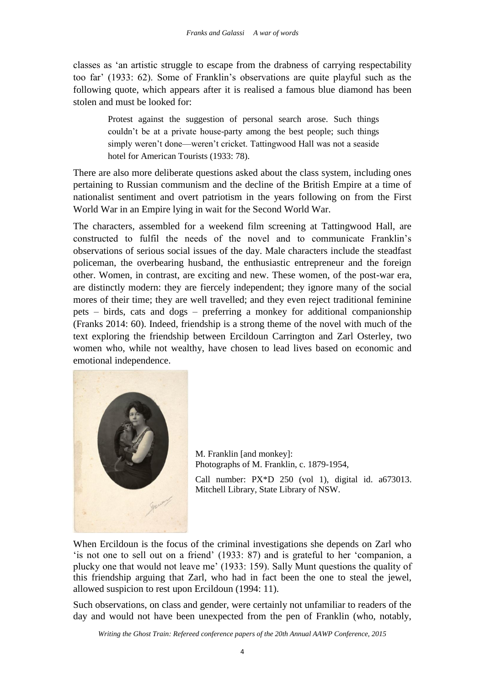classes as 'an artistic struggle to escape from the drabness of carrying respectability too far' (1933: 62). Some of Franklin's observations are quite playful such as the following quote, which appears after it is realised a famous blue diamond has been stolen and must be looked for:

Protest against the suggestion of personal search arose. Such things couldn't be at a private house-party among the best people; such things simply weren't done—weren't cricket. Tattingwood Hall was not a seaside hotel for American Tourists (1933: 78).

There are also more deliberate questions asked about the class system, including ones pertaining to Russian communism and the decline of the British Empire at a time of nationalist sentiment and overt patriotism in the years following on from the First World War in an Empire lying in wait for the Second World War.

The characters, assembled for a weekend film screening at Tattingwood Hall, are constructed to fulfil the needs of the novel and to communicate Franklin's observations of serious social issues of the day. Male characters include the steadfast policeman, the overbearing husband, the enthusiastic entrepreneur and the foreign other. Women, in contrast, are exciting and new. These women, of the post-war era, are distinctly modern: they are fiercely independent; they ignore many of the social mores of their time; they are well travelled; and they even reject traditional feminine pets – birds, cats and dogs – preferring a monkey for additional companionship (Franks 2014: 60). Indeed, friendship is a strong theme of the novel with much of the text exploring the friendship between Ercildoun Carrington and Zarl Osterley, two women who, while not wealthy, have chosen to lead lives based on economic and emotional independence.



M. Franklin [and monkey]: Photographs of M. Franklin, c. 1879-1954,

Call number: PX\*D 250 (vol 1), digital id. a673013. Mitchell Library, State Library of NSW.

When Ercildoun is the focus of the criminal investigations she depends on Zarl who 'is not one to sell out on a friend' (1933: 87) and is grateful to her 'companion, a plucky one that would not leave me' (1933: 159). Sally Munt questions the quality of this friendship arguing that Zarl, who had in fact been the one to steal the jewel, allowed suspicion to rest upon Ercildoun (1994: 11).

Such observations, on class and gender, were certainly not unfamiliar to readers of the day and would not have been unexpected from the pen of Franklin (who, notably,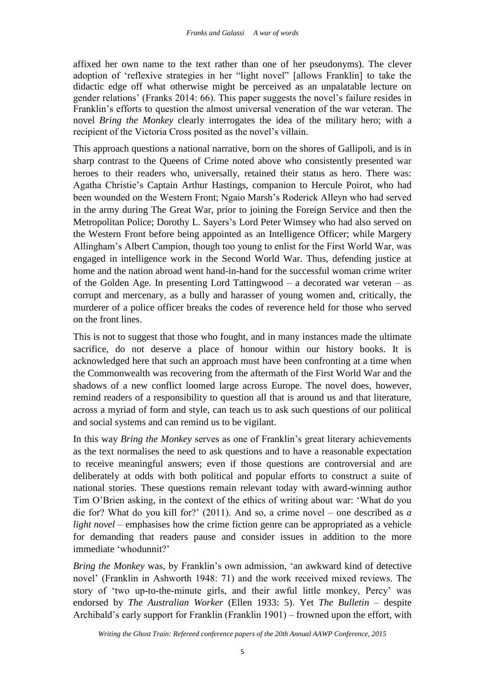affixed her own name to the text rather than one of her pseudonyms). The clever adoption of 'reflexive strategies in her "light novel" [allows Franklin] to take the didactic edge off what otherwise might be perceived as an unpalatable lecture on gender relations' (Franks 2014: 66). This paper suggests the novel's failure resides in Franklin's efforts to question the almost universal veneration of the war veteran. The novel *Bring the Monkey* clearly interrogates the idea of the military hero; with a recipient of the Victoria Cross posited as the novel's villain.

This approach questions a national narrative, born on the shores of Gallipoli, and is in sharp contrast to the Queens of Crime noted above who consistently presented war heroes to their readers who, universally, retained their status as hero. There was: Agatha Christie's Captain Arthur Hastings, companion to Hercule Poirot, who had been wounded on the Western Front; Ngaio Marsh's Roderick Alleyn who had served in the army during The Great War, prior to joining the Foreign Service and then the Metropolitan Police; Dorothy L. Sayers's Lord Peter Wimsey who had also served on the Western Front before being appointed as an Intelligence Officer; while Margery Allingham's Albert Campion, though too young to enlist for the First World War, was engaged in intelligence work in the Second World War. Thus, defending justice at home and the nation abroad went hand-in-hand for the successful woman crime writer of the Golden Age. In presenting Lord Tattingwood – a decorated war veteran – as corrupt and mercenary, as a bully and harasser of young women and, critically, the murderer of a police officer breaks the codes of reverence held for those who served on the front lines.

This is not to suggest that those who fought, and in many instances made the ultimate sacrifice, do not deserve a place of honour within our history books. It is acknowledged here that such an approach must have been confronting at a time when the Commonwealth was recovering from the aftermath of the First World War and the shadows of a new conflict loomed large across Europe. The novel does, however, remind readers of a responsibility to question all that is around us and that literature, across a myriad of form and style, can teach us to ask such questions of our political and social systems and can remind us to be vigilant.

In this way *Bring the Monkey* serves as one of Franklin's great literary achievements as the text normalises the need to ask questions and to have a reasonable expectation to receive meaningful answers; even if those questions are controversial and are deliberately at odds with both political and popular efforts to construct a suite of national stories. These questions remain relevant today with award-winning author Tim O'Brien asking, in the context of the ethics of writing about war: 'What do you die for? What do you kill for?' (2011). And so, a crime novel – one described as *a light novel* – emphasises how the crime fiction genre can be appropriated as a vehicle for demanding that readers pause and consider issues in addition to the more immediate 'whodunnit?'

*Bring the Monkey* was, by Franklin's own admission, 'an awkward kind of detective novel' (Franklin in Ashworth 1948: 71) and the work received mixed reviews. The story of 'two up-to-the-minute girls, and their awful little monkey, Percy' was endorsed by *The Australian Worker* (Ellen 1933: 5). Yet *The Bulletin* – despite Archibald's early support for Franklin (Franklin 1901) – frowned upon the effort, with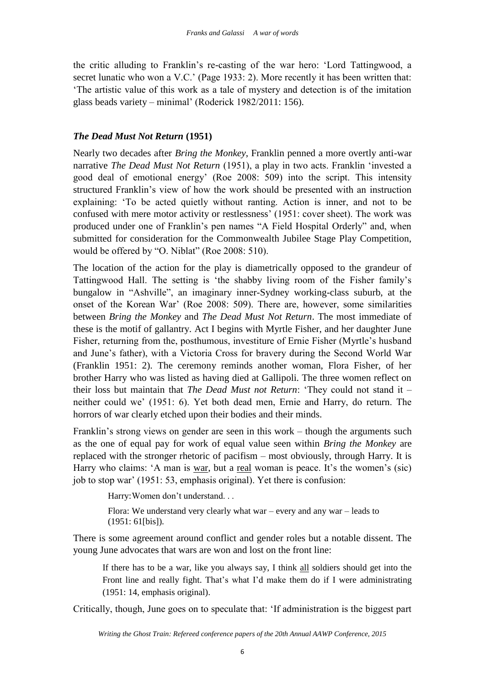the critic alluding to Franklin's re-casting of the war hero: 'Lord Tattingwood, a secret lunatic who won a V.C.' (Page 1933: 2). More recently it has been written that: 'The artistic value of this work as a tale of mystery and detection is of the imitation glass beads variety – minimal' (Roderick 1982/2011: 156).

# *The Dead Must Not Return* **(1951)**

Nearly two decades after *Bring the Monkey*, Franklin penned a more overtly anti-war narrative *The Dead Must Not Return* (1951), a play in two acts. Franklin 'invested a good deal of emotional energy' (Roe 2008: 509) into the script. This intensity structured Franklin's view of how the work should be presented with an instruction explaining: 'To be acted quietly without ranting. Action is inner, and not to be confused with mere motor activity or restlessness' (1951: cover sheet). The work was produced under one of Franklin's pen names "A Field Hospital Orderly" and, when submitted for consideration for the Commonwealth Jubilee Stage Play Competition, would be offered by "O. Niblat" (Roe 2008: 510).

The location of the action for the play is diametrically opposed to the grandeur of Tattingwood Hall. The setting is 'the shabby living room of the Fisher family's bungalow in "Ashville", an imaginary inner-Sydney working-class suburb, at the onset of the Korean War' (Roe 2008: 509). There are, however, some similarities between *Bring the Monkey* and *The Dead Must Not Return*. The most immediate of these is the motif of gallantry. Act I begins with Myrtle Fisher, and her daughter June Fisher, returning from the, posthumous, investiture of Ernie Fisher (Myrtle's husband and June's father), with a Victoria Cross for bravery during the Second World War (Franklin 1951: 2). The ceremony reminds another woman, Flora Fisher, of her brother Harry who was listed as having died at Gallipoli. The three women reflect on their loss but maintain that *The Dead Must not Return*: 'They could not stand it – neither could we' (1951: 6). Yet both dead men, Ernie and Harry, do return. The horrors of war clearly etched upon their bodies and their minds.

Franklin's strong views on gender are seen in this work – though the arguments such as the one of equal pay for work of equal value seen within *Bring the Monkey* are replaced with the stronger rhetoric of pacifism – most obviously, through Harry. It is Harry who claims: 'A man is war, but a real woman is peace. It's the women's (sic) job to stop war' (1951: 53, emphasis original). Yet there is confusion:

Harry:Women don't understand. . .

Flora: We understand very clearly what war – every and any war – leads to (1951: 61[bis]).

There is some agreement around conflict and gender roles but a notable dissent. The young June advocates that wars are won and lost on the front line:

If there has to be a war, like you always say, I think all soldiers should get into the Front line and really fight. That's what I'd make them do if I were administrating (1951: 14, emphasis original).

Critically, though, June goes on to speculate that: 'If administration is the biggest part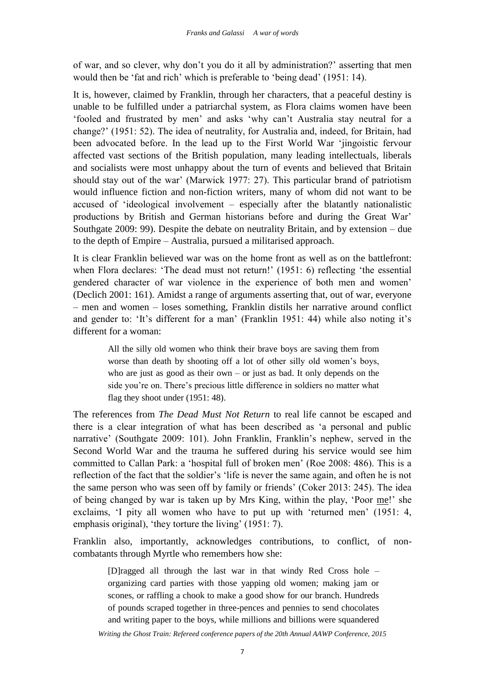of war, and so clever, why don't you do it all by administration?' asserting that men would then be 'fat and rich' which is preferable to 'being dead' (1951: 14).

It is, however, claimed by Franklin, through her characters, that a peaceful destiny is unable to be fulfilled under a patriarchal system, as Flora claims women have been 'fooled and frustrated by men' and asks 'why can't Australia stay neutral for a change?' (1951: 52). The idea of neutrality, for Australia and, indeed, for Britain, had been advocated before. In the lead up to the First World War 'jingoistic fervour affected vast sections of the British population, many leading intellectuals, liberals and socialists were most unhappy about the turn of events and believed that Britain should stay out of the war' (Marwick 1977: 27). This particular brand of patriotism would influence fiction and non-fiction writers, many of whom did not want to be accused of 'ideological involvement – especially after the blatantly nationalistic productions by British and German historians before and during the Great War' Southgate 2009: 99). Despite the debate on neutrality Britain, and by extension – due to the depth of Empire – Australia, pursued a militarised approach.

It is clear Franklin believed war was on the home front as well as on the battlefront: when Flora declares: 'The dead must not return!' (1951: 6) reflecting 'the essential gendered character of war violence in the experience of both men and women' (Declich 2001: 161). Amidst a range of arguments asserting that, out of war, everyone – men and women – loses something, Franklin distils her narrative around conflict and gender to: 'It's different for a man' (Franklin 1951: 44) while also noting it's different for a woman:

> All the silly old women who think their brave boys are saving them from worse than death by shooting off a lot of other silly old women's boys, who are just as good as their own  $-$  or just as bad. It only depends on the side you're on. There's precious little difference in soldiers no matter what flag they shoot under (1951: 48).

The references from *The Dead Must Not Return* to real life cannot be escaped and there is a clear integration of what has been described as 'a personal and public narrative' (Southgate 2009: 101). John Franklin, Franklin's nephew, served in the Second World War and the trauma he suffered during his service would see him committed to Callan Park: a 'hospital full of broken men' (Roe 2008: 486). This is a reflection of the fact that the soldier's 'life is never the same again, and often he is not the same person who was seen off by family or friends' (Coker 2013: 245). The idea of being changed by war is taken up by Mrs King, within the play, 'Poor me!' she exclaims, 'I pity all women who have to put up with 'returned men' (1951: 4, emphasis original), 'they torture the living' (1951: 7).

Franklin also, importantly, acknowledges contributions, to conflict, of noncombatants through Myrtle who remembers how she:

> [D]ragged all through the last war in that windy Red Cross hole – organizing card parties with those yapping old women; making jam or scones, or raffling a chook to make a good show for our branch. Hundreds of pounds scraped together in three-pences and pennies to send chocolates and writing paper to the boys, while millions and billions were squandered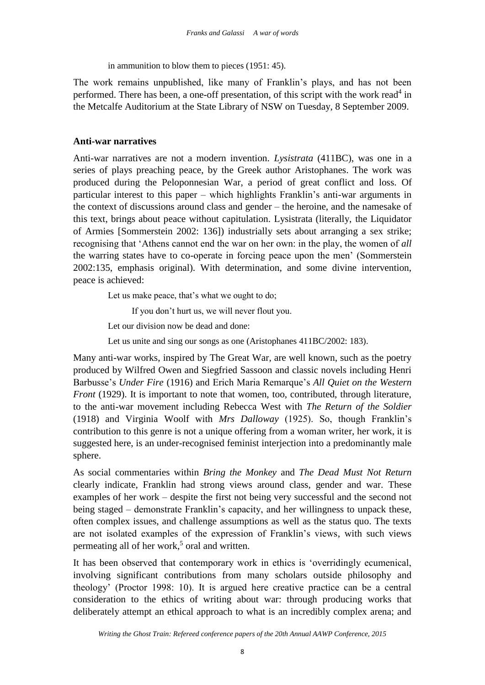in ammunition to blow them to pieces (1951: 45).

The work remains unpublished, like many of Franklin's plays, and has not been performed. There has been, a one-off presentation, of this script with the work read<sup>4</sup> in the Metcalfe Auditorium at the State Library of NSW on Tuesday, 8 September 2009.

# **Anti-war narratives**

Anti-war narratives are not a modern invention. *Lysistrata* (411BC), was one in a series of plays preaching peace, by the Greek author Aristophanes. The work was produced during the Peloponnesian War, a period of great conflict and loss. Of particular interest to this paper – which highlights Franklin's anti-war arguments in the context of discussions around class and gender – the heroine, and the namesake of this text, brings about peace without capitulation. Lysistrata (literally, the Liquidator of Armies [Sommerstein 2002: 136]) industrially sets about arranging a sex strike; recognising that 'Athens cannot end the war on her own: in the play, the women of *all* the warring states have to co-operate in forcing peace upon the men' (Sommerstein 2002:135, emphasis original). With determination, and some divine intervention, peace is achieved:

Let us make peace, that's what we ought to do;

If you don't hurt us, we will never flout you.

Let our division now be dead and done:

Let us unite and sing our songs as one (Aristophanes 411BC/2002: 183).

Many anti-war works, inspired by The Great War, are well known, such as the poetry produced by Wilfred Owen and Siegfried Sassoon and classic novels including Henri Barbusse's *Under Fire* (1916) and Erich Maria Remarque's *All Quiet on the Western Front* (1929). It is important to note that women, too, contributed, through literature, to the anti-war movement including Rebecca West with *The Return of the Soldier*  (1918) and Virginia Woolf with *Mrs Dalloway* (1925). So, though Franklin's contribution to this genre is not a unique offering from a woman writer, her work, it is suggested here, is an under-recognised feminist interjection into a predominantly male sphere.

As social commentaries within *Bring the Monkey* and *The Dead Must Not Return* clearly indicate, Franklin had strong views around class, gender and war. These examples of her work – despite the first not being very successful and the second not being staged – demonstrate Franklin's capacity, and her willingness to unpack these, often complex issues, and challenge assumptions as well as the status quo. The texts are not isolated examples of the expression of Franklin's views, with such views permeating all of her work,<sup>5</sup> oral and written.

It has been observed that contemporary work in ethics is 'overridingly ecumenical, involving significant contributions from many scholars outside philosophy and theology' (Proctor 1998: 10). It is argued here creative practice can be a central consideration to the ethics of writing about war: through producing works that deliberately attempt an ethical approach to what is an incredibly complex arena; and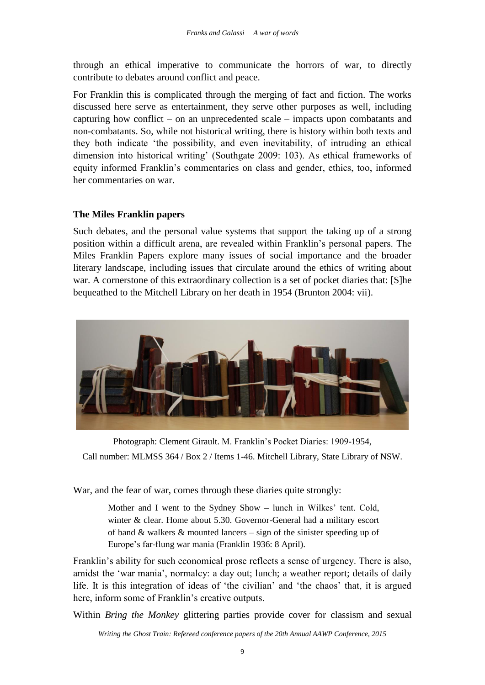through an ethical imperative to communicate the horrors of war, to directly contribute to debates around conflict and peace.

For Franklin this is complicated through the merging of fact and fiction. The works discussed here serve as entertainment, they serve other purposes as well, including capturing how conflict – on an unprecedented scale – impacts upon combatants and non-combatants. So, while not historical writing, there is history within both texts and they both indicate 'the possibility, and even inevitability, of intruding an ethical dimension into historical writing' (Southgate 2009: 103). As ethical frameworks of equity informed Franklin's commentaries on class and gender, ethics, too, informed her commentaries on war.

## **The Miles Franklin papers**

Such debates, and the personal value systems that support the taking up of a strong position within a difficult arena, are revealed within Franklin's personal papers. The Miles Franklin Papers explore many issues of social importance and the broader literary landscape, including issues that circulate around the ethics of writing about war. A cornerstone of this extraordinary collection is a set of pocket diaries that: [S]he bequeathed to the Mitchell Library on her death in 1954 (Brunton 2004: vii).



Photograph: Clement Girault. M. Franklin's Pocket Diaries: 1909-1954, Call number: MLMSS 364 / Box 2 / Items 1-46. Mitchell Library, State Library of NSW.

War, and the fear of war, comes through these diaries quite strongly:

Mother and I went to the Sydney Show – lunch in Wilkes' tent. Cold, winter & clear. Home about 5.30. Governor-General had a military escort of band & walkers & mounted lancers – sign of the sinister speeding up of Europe's far-flung war mania (Franklin 1936: 8 April).

Franklin's ability for such economical prose reflects a sense of urgency. There is also, amidst the 'war mania', normalcy: a day out; lunch; a weather report; details of daily life. It is this integration of ideas of 'the civilian' and 'the chaos' that, it is argued here, inform some of Franklin's creative outputs.

Within *Bring the Monkey* glittering parties provide cover for classism and sexual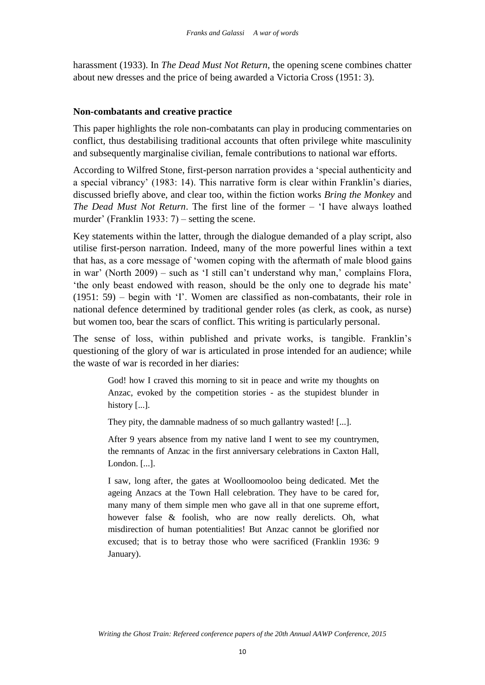harassment (1933). In *The Dead Must Not Return*, the opening scene combines chatter about new dresses and the price of being awarded a Victoria Cross (1951: 3).

## **Non-combatants and creative practice**

This paper highlights the role non-combatants can play in producing commentaries on conflict, thus destabilising traditional accounts that often privilege white masculinity and subsequently marginalise civilian, female contributions to national war efforts.

According to Wilfred Stone, first-person narration provides a 'special authenticity and a special vibrancy' (1983: 14). This narrative form is clear within Franklin's diaries, discussed briefly above, and clear too, within the fiction works *Bring the Monkey* and *The Dead Must Not Return*. The first line of the former – 'I have always loathed murder' (Franklin 1933: 7) – setting the scene.

Key statements within the latter, through the dialogue demanded of a play script, also utilise first-person narration. Indeed, many of the more powerful lines within a text that has, as a core message of 'women coping with the aftermath of male blood gains in war' (North 2009) – such as 'I still can't understand why man,' complains Flora, 'the only beast endowed with reason, should be the only one to degrade his mate' (1951: 59) – begin with 'I'. Women are classified as non-combatants, their role in national defence determined by traditional gender roles (as clerk, as cook, as nurse) but women too, bear the scars of conflict. This writing is particularly personal.

The sense of loss, within published and private works, is tangible. Franklin's questioning of the glory of war is articulated in prose intended for an audience; while the waste of war is recorded in her diaries:

> God! how I craved this morning to sit in peace and write my thoughts on Anzac, evoked by the competition stories - as the stupidest blunder in history [...].

They pity, the damnable madness of so much gallantry wasted! [...].

After 9 years absence from my native land I went to see my countrymen, the remnants of Anzac in the first anniversary celebrations in Caxton Hall, London. [...].

I saw, long after, the gates at Woolloomooloo being dedicated. Met the ageing Anzacs at the Town Hall celebration. They have to be cared for, many many of them simple men who gave all in that one supreme effort, however false & foolish, who are now really derelicts. Oh, what misdirection of human potentialities! But Anzac cannot be glorified nor excused; that is to betray those who were sacrificed (Franklin 1936: 9 January).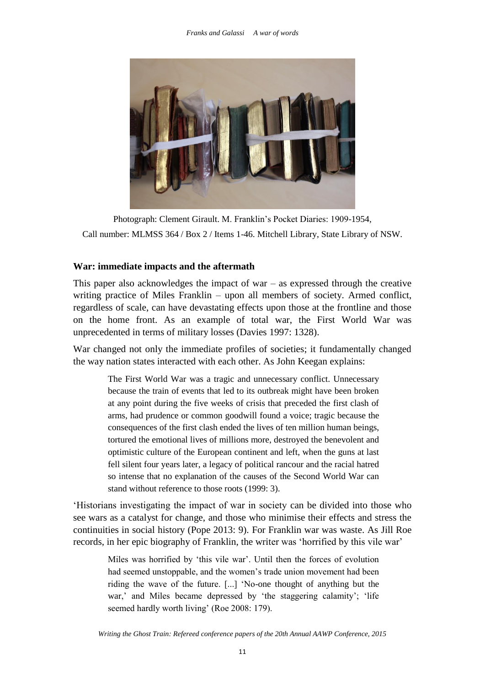

Photograph: Clement Girault. M. Franklin's Pocket Diaries: 1909-1954, Call number: MLMSS 364 / Box 2 / Items 1-46. Mitchell Library, State Library of NSW.

## **War: immediate impacts and the aftermath**

This paper also acknowledges the impact of war  $-$  as expressed through the creative writing practice of Miles Franklin – upon all members of society. Armed conflict, regardless of scale, can have devastating effects upon those at the frontline and those on the home front. As an example of total war, the First World War was unprecedented in terms of military losses (Davies 1997: 1328).

War changed not only the immediate profiles of societies; it fundamentally changed the way nation states interacted with each other. As John Keegan explains:

The First World War was a tragic and unnecessary conflict. Unnecessary because the train of events that led to its outbreak might have been broken at any point during the five weeks of crisis that preceded the first clash of arms, had prudence or common goodwill found a voice; tragic because the consequences of the first clash ended the lives of ten million human beings, tortured the emotional lives of millions more, destroyed the benevolent and optimistic culture of the European continent and left, when the guns at last fell silent four years later, a legacy of political rancour and the racial hatred so intense that no explanation of the causes of the Second World War can stand without reference to those roots (1999: 3).

'Historians investigating the impact of war in society can be divided into those who see wars as a catalyst for change, and those who minimise their effects and stress the continuities in social history (Pope 2013: 9). For Franklin war was waste. As Jill Roe records, in her epic biography of Franklin, the writer was 'horrified by this vile war'

Miles was horrified by 'this vile war'. Until then the forces of evolution had seemed unstoppable, and the women's trade union movement had been riding the wave of the future. [...] 'No-one thought of anything but the war,' and Miles became depressed by 'the staggering calamity'; 'life seemed hardly worth living' (Roe 2008: 179).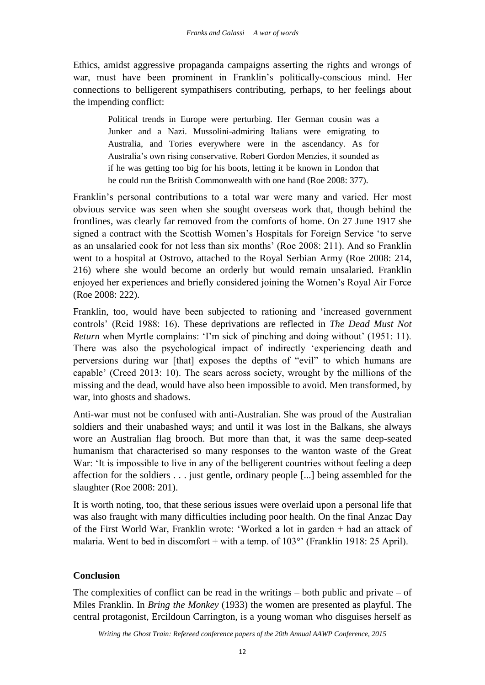Ethics, amidst aggressive propaganda campaigns asserting the rights and wrongs of war, must have been prominent in Franklin's politically-conscious mind. Her connections to belligerent sympathisers contributing, perhaps, to her feelings about the impending conflict:

> Political trends in Europe were perturbing. Her German cousin was a Junker and a Nazi. Mussolini-admiring Italians were emigrating to Australia, and Tories everywhere were in the ascendancy. As for Australia's own rising conservative, Robert Gordon Menzies, it sounded as if he was getting too big for his boots, letting it be known in London that he could run the British Commonwealth with one hand (Roe 2008: 377).

Franklin's personal contributions to a total war were many and varied. Her most obvious service was seen when she sought overseas work that, though behind the frontlines, was clearly far removed from the comforts of home. On 27 June 1917 she signed a contract with the Scottish Women's Hospitals for Foreign Service 'to serve as an unsalaried cook for not less than six months' (Roe 2008: 211). And so Franklin went to a hospital at Ostrovo, attached to the Royal Serbian Army (Roe 2008: 214, 216) where she would become an orderly but would remain unsalaried. Franklin enjoyed her experiences and briefly considered joining the Women's Royal Air Force (Roe 2008: 222).

Franklin, too, would have been subjected to rationing and 'increased government controls' (Reid 1988: 16). These deprivations are reflected in *The Dead Must Not Return* when Myrtle complains: 'I'm sick of pinching and doing without' (1951: 11). There was also the psychological impact of indirectly 'experiencing death and perversions during war [that] exposes the depths of "evil" to which humans are capable' (Creed 2013: 10). The scars across society, wrought by the millions of the missing and the dead, would have also been impossible to avoid. Men transformed, by war, into ghosts and shadows.

Anti-war must not be confused with anti-Australian. She was proud of the Australian soldiers and their unabashed ways; and until it was lost in the Balkans, she always wore an Australian flag brooch. But more than that, it was the same deep-seated humanism that characterised so many responses to the wanton waste of the Great War: 'It is impossible to live in any of the belligerent countries without feeling a deep affection for the soldiers . . . just gentle, ordinary people [...] being assembled for the slaughter (Roe 2008: 201).

It is worth noting, too, that these serious issues were overlaid upon a personal life that was also fraught with many difficulties including poor health. On the final Anzac Day of the First World War, Franklin wrote: 'Worked a lot in garden + had an attack of malaria. Went to bed in discomfort + with a temp. of 103°' (Franklin 1918: 25 April).

# **Conclusion**

The complexities of conflict can be read in the writings  $-$  both public and private  $-$  of Miles Franklin. In *Bring the Monkey* (1933) the women are presented as playful. The central protagonist, Ercildoun Carrington, is a young woman who disguises herself as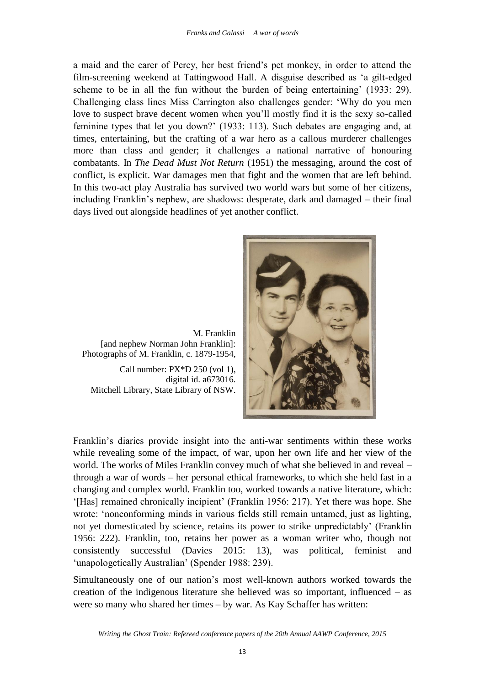a maid and the carer of Percy, her best friend's pet monkey, in order to attend the film-screening weekend at Tattingwood Hall. A disguise described as 'a gilt-edged scheme to be in all the fun without the burden of being entertaining' (1933: 29). Challenging class lines Miss Carrington also challenges gender: 'Why do you men love to suspect brave decent women when you'll mostly find it is the sexy so-called feminine types that let you down?' (1933: 113). Such debates are engaging and, at times, entertaining, but the crafting of a war hero as a callous murderer challenges more than class and gender; it challenges a national narrative of honouring combatants. In *The Dead Must Not Return* (1951) the messaging, around the cost of conflict, is explicit. War damages men that fight and the women that are left behind. In this two-act play Australia has survived two world wars but some of her citizens, including Franklin's nephew, are shadows: desperate, dark and damaged – their final days lived out alongside headlines of yet another conflict.



M. Franklin [and nephew Norman John Franklin]: Photographs of M. Franklin, c. 1879-1954, Call number: PX\*D 250 (vol 1),

digital id. a673016. Mitchell Library, State Library of NSW.

Franklin's diaries provide insight into the anti-war sentiments within these works while revealing some of the impact, of war, upon her own life and her view of the world. The works of Miles Franklin convey much of what she believed in and reveal – through a war of words – her personal ethical frameworks, to which she held fast in a changing and complex world. Franklin too, worked towards a native literature, which: '[Has] remained chronically incipient' (Franklin 1956: 217). Yet there was hope. She wrote: 'nonconforming minds in various fields still remain untamed, just as lighting, not yet domesticated by science, retains its power to strike unpredictably' (Franklin 1956: 222). Franklin, too, retains her power as a woman writer who, though not consistently successful (Davies 2015: 13), was political, feminist and 'unapologetically Australian' (Spender 1988: 239).

Simultaneously one of our nation's most well-known authors worked towards the creation of the indigenous literature she believed was so important, influenced – as were so many who shared her times – by war. As Kay Schaffer has written: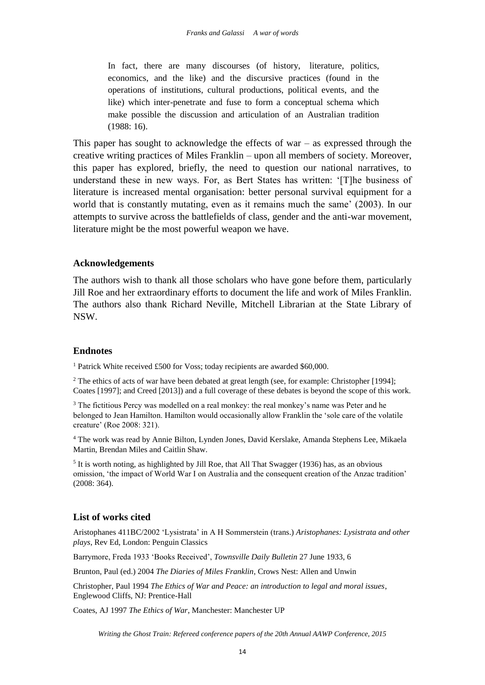In fact, there are many discourses (of history, literature, politics, economics, and the like) and the discursive practices (found in the operations of institutions, cultural productions, political events, and the like) which inter-penetrate and fuse to form a conceptual schema which make possible the discussion and articulation of an Australian tradition (1988: 16).

This paper has sought to acknowledge the effects of war  $-$  as expressed through the creative writing practices of Miles Franklin – upon all members of society. Moreover, this paper has explored, briefly, the need to question our national narratives, to understand these in new ways. For, as Bert States has written: '[T]he business of literature is increased mental organisation: better personal survival equipment for a world that is constantly mutating, even as it remains much the same' (2003). In our attempts to survive across the battlefields of class, gender and the anti-war movement, literature might be the most powerful weapon we have.

## **Acknowledgements**

The authors wish to thank all those scholars who have gone before them, particularly Jill Roe and her extraordinary efforts to document the life and work of Miles Franklin. The authors also thank Richard Neville, Mitchell Librarian at the State Library of NSW.

### **Endnotes**

<sup>1</sup> Patrick White received £500 for Voss; today recipients are awarded \$60,000.

<sup>2</sup> The ethics of acts of war have been debated at great length (see, for example: Christopher [1994]; Coates [1997]; and Creed [2013]) and a full coverage of these debates is beyond the scope of this work.

<sup>3</sup> The fictitious Percy was modelled on a real monkey: the real monkey's name was Peter and he belonged to Jean Hamilton. Hamilton would occasionally allow Franklin the 'sole care of the volatile creature' (Roe 2008: 321).

<sup>4</sup> The work was read by Annie Bilton, Lynden Jones, David Kerslake, Amanda Stephens Lee, Mikaela Martin, Brendan Miles and Caitlin Shaw.

 $<sup>5</sup>$  It is worth noting, as highlighted by Jill Roe, that All That Swagger (1936) has, as an obvious</sup> omission, 'the impact of World War I on Australia and the consequent creation of the Anzac tradition' (2008: 364).

### **List of works cited**

Aristophanes 411BC/2002 'Lysistrata' in A H Sommerstein (trans.) *Aristophanes: Lysistrata and other plays*, Rev Ed, London: Penguin Classics

Barrymore, Freda 1933 'Books Received', *Townsville Daily Bulletin* 27 June 1933, 6

Brunton, Paul (ed.) 2004 *The Diaries of Miles Franklin*, Crows Nest: Allen and Unwin

Christopher, Paul 1994 *The Ethics of War and Peace: an introduction to legal and moral issues*, Englewood Cliffs, NJ: Prentice-Hall

Coates, AJ 1997 *The Ethics of War*, Manchester: Manchester UP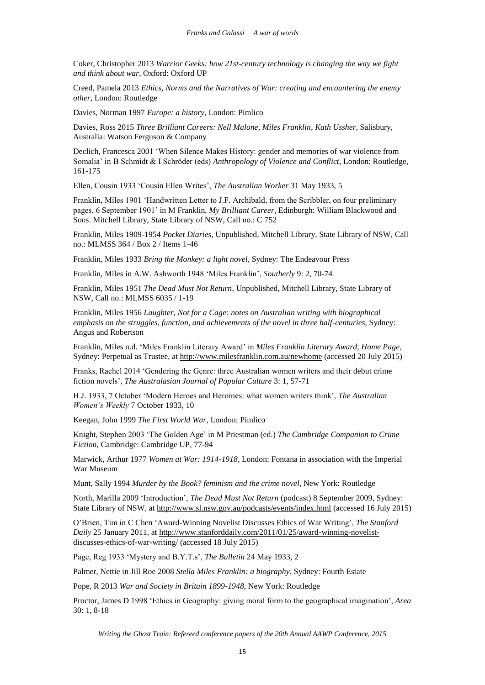Coker, Christopher 2013 *Warrior Geeks: how 21st-century technology is changing the way we fight and think about war*, Oxford: Oxford UP

Creed, Pamela 2013 *Ethics, Norms and the Narratives of War: creating and encountering the enemy other*, London: Routledge

Davies, Norman 1997 *Europe: a history*, London: Pimlico

Davies, Ross 2015 *Three Brilliant Careers: Nell Malone, Miles Franklin*, *Kath Ussher*, Salisbury, Australia: Watson Ferguson & Company

Declich, Francesca 2001 'When Silence Makes History: gender and memories of war violence from Somalia' in B Schmidt & I Schrӧder (eds) *Anthropology of Violence and Conflict*, London: Routledge, 161-175

Ellen, Cousin 1933 'Cousin Ellen Writes', *The Australian Worker* 31 May 1933, 5

Franklin, Miles 1901 'Handwritten Letter to J.F. Archibald, from the Scribbler, on four preliminary pages, 6 September 1901' in M Franklin, *My Brilliant Career*, Edinburgh: William Blackwood and Sons. Mitchell Library, State Library of NSW, Call no.: C 752

Franklin, Miles 1909-1954 *Pocket Diaries*, Unpublished, Mitchell Library, State Library of NSW, Call no.: MLMSS 364 / Box 2 / Items 1-46

Franklin, Miles 1933 *Bring the Monkey: a light novel*, Sydney: The Endeavour Press

Franklin, Miles in A.W. Ashworth 1948 'Miles Franklin', *Southerly* 9: 2, 70-74

Franklin, Miles 1951 *The Dead Must Not Return*, Unpublished, Mitchell Library, State Library of NSW, Call no.: MLMSS 6035 / 1-19

Franklin, Miles 1956 *Laughter, Not for a Cage: notes on Australian writing with biographical emphasis on the struggles, function, and achievements of the novel in three half-centuries*, Sydney: Angus and Robertson

Franklin, Miles n.d. 'Miles Franklin Literary Award' in *Miles Franklin Literary Award, Home Page*, Sydney: Perpetual as Trustee, at <http://www.milesfranklin.com.au/newhome> (accessed 20 July 2015)

Franks, Rachel 2014 'Gendering the Genre: three Australian women writers and their debut crime fiction novels', *The Australasian Journal of Popular Culture* 3: 1, 57-71

H.J. 1933, 7 October 'Modern Heroes and Heroines: what women writers think', *The Australian Women's Weekly* 7 October 1933, 10

Keegan, John 1999 *The First World War*, London: Pimlico

Knight, Stephen 2003 'The Golden Age' in M Priestman (ed.) *The Cambridge Companion to Crime Fiction*, Cambridge: Cambridge UP, 77-94

Marwick, Arthur 1977 *Women at War: 1914-1918*, London: Fontana in association with the Imperial War Museum

Munt, Sally 1994 *Murder by the Book? feminism and the crime novel*, New York: Routledge

North, Marilla 2009 'Introduction', *The Dead Must Not Return* (podcast) 8 September 2009, Sydney: State Library of NSW, at <http://www.sl.nsw.gov.au/podcasts/events/index.html> (accessed 16 July 2015)

O'Brien, Tim in C Chen 'Award-Winning Novelist Discusses Ethics of War Writing', *The Stanford Daily* 25 January 2011, at [http://www.stanforddaily.com/2011/01/25/award-winning-novelist](http://www.stanforddaily.com/2011/01/25/award-winning-novelist-discusses-ethics-of-war-writing/)[discusses-ethics-of-war-writing/](http://www.stanforddaily.com/2011/01/25/award-winning-novelist-discusses-ethics-of-war-writing/) (accessed 18 July 2015)

Page, Reg 1933 'Mystery and B.Y.T.s', *The Bulletin* 24 May 1933, 2

Palmer, Nettie in Jill Roe 2008 *Stella Miles Franklin: a biography*, Sydney: Fourth Estate

Pope, R 2013 *War and Society in Britain 1899-1948*, New York: Routledge

Proctor, James D 1998 'Ethics in Geography: giving moral form to the geographical imagination', *Area* 30: 1, 8-18